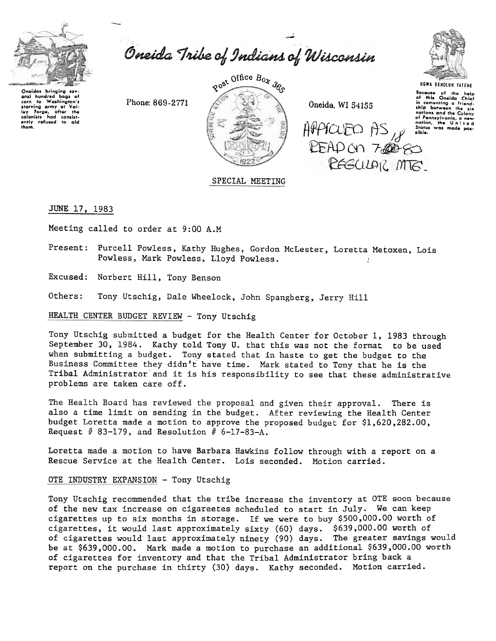

Oneida Tribe of Indians of Wisconsin

~

Oneidas bringing sev-<br>eral hundred bags of corn to Washington's starving army at Val. loy forgo. altor tho colonists had consist<br>ently refused to aid thom,

~







UGWA DENOLUN YATENE

Because of the help<br>of this Oneida Chief in comonting a friend<br>ship between the si nations and the Colony of Pennsylvania, a new nation, the U nit e d

SPECIAL MEETING

JUNE 17, 1983

Meeting called to order at 9:00 A.M

Present: Purcell Powless, Kathy Hughes, Gordon McLester, Loretta Metoxen, Lois Powless, Mark Powless, Lloyd Powless. :

Excused: Norbert Hill, Tony Benson

Others: Tony Utschig, Dale Wheelock, John Spangberg, Jerry Hill

HEALTH CENTER BUDGET REVIEW - Tony Utschig

Tony Utschig submitted a budget for the Health Center for October 1, 1983 through September 30, 1984. Kathy told Tony U. that this was not the format to be used when submitting a budget. Tony stated that in haste to get the budget to the Business Committee they didn't have time. Mark stated to Tony that he is the Tribal Administrator'and it is his responsibility to see that these administrative problems are taken care off.

The Health Board has reviewed the proposal and given their approval. There is also a time limit on sending in the budget. After reviewing the Health Center budget Loretta made a motion to approve the proposed budget for \$1.620.282.00. Request  $#$  83-179, and Resolution  $#$  6-17-83-A.

Loretta made a motion to have Barbara Hawkins follow through with a report on a Rescue Service at the Health Center. Lois seconded. Motion carried.

#### OTE INDUSTRY EXPANSION - Tony Utschig

Tony Utschig recommended that the tribe increase the inventory at OTE soon because of the new tax increase on cigareetes scheduled to start in July. We can keep cigarettes up to six months in storage. If we were to buy \$500,000.00 worth of cigarettes, it would last approximately sixty (60) days. \$639,000.00 worth of of cigarettes would last approximately ninety (90) days. The greater savings woul be at \$639,000.00. Mark made a motion to purchase an additional \$639,000.00 worth of cigarettes for inventory and that the Tribal Administrator bring back a report on the purchase in thirty (30) days. Kathy seconded. Motion carried.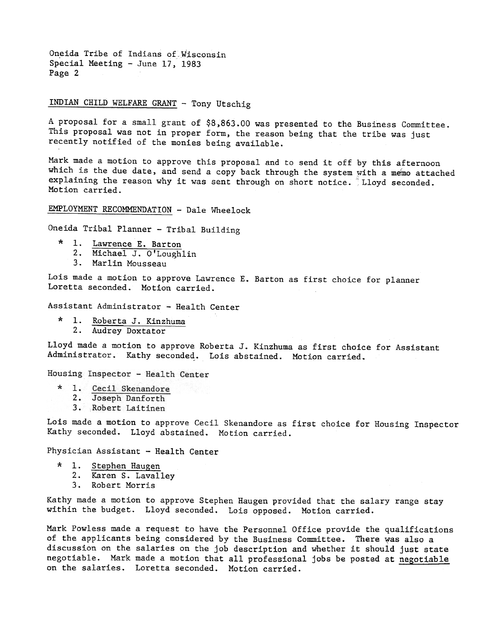Oneida Tribe of Indians of Wisconsin Special Meeting - June 17, 1983 Page 2

#### J.NDIAN CHILD WELFARE GRANT -Tony Utschig

A proposal for a small grant of \$8)863.00 was presented to the Business Committee. This proposal was not in proper form, the reason being that the tribe was just recently notified of the monies being available.

Mark made a motion to approve this proposal and to send it off by this afternoon which is the due date, and send a copy back through the system with a memo attached explaining the reason why it was sent through on short notice. Lloyd seconded. Motion carried.

EMPLOYMENT RECOMMENDATION - Dale Wheelock

Oneida Tribal Planner - Tribal Building

- 1. Lawrence E. Barton
	- 2. Michael J. O'Lough1
- 3. Marlin Mousseau

Lois made a motion to approve Lawrence E. Barton as first choice for planner Loretta seconded. Motion carried.

Assistant Administrator - Health Center

1. Roberta J. Kinzhuma 2. Audrey Doxtator

Lloyd made a motion to approve Roberta J. Kinzhuma as first choice for Assistant Administrator. Kathy seconded. Lois abstained. Motion carried.

Housing Inspector - Health Center

- 1. Cecil Skenandore
- 2. Joseph Danforth
- 3. Robert Laitinen

Lois made a motion to approve Cecil Skenandore as first choice for Housing Inspector Kathy seconded. Lloyd abstained. Motion carried.

Physician Assistant - Health Center

- \* 1. Stephen Haugen
	- 2. Karen S. Lavalley
	- 3. Robert Morris

Kathy made a motion to approve Stephen Haugen provided that the salary range stay within the budget. Lloyd seconded. Lois opposed. Motion carried.

Mark Powless made a request to have the Personnel Office provide the qualifications of the applicants being considered by the Business Committee. There vas also a discussion on the salaries on the job description and whether it should just state negotiable. Mark made a motion that all professional jobs be posted at negotiable on the salaries. Loretta seconded. Motion carried.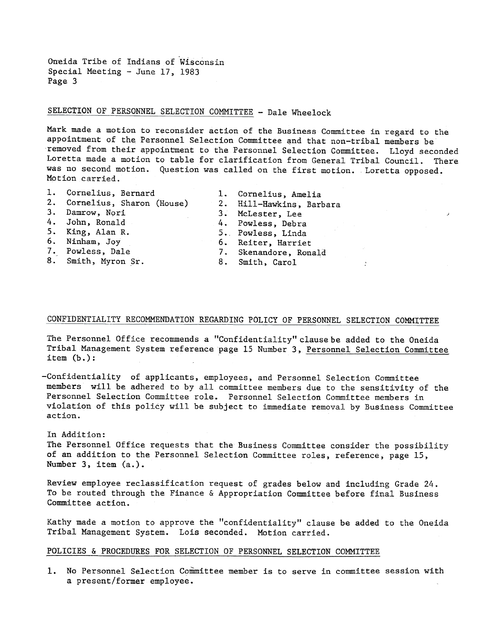Oneida Tribe of Indians of Wisconsin Special Meeting - June 17, 1983 Page 3

## SELECTION OF PERSONNEL SELECTION COMMITTEE - Dale Wheelock

Mark made a motion to reconsider action of the Business Committee in regard to the appointment of the Personnel Selection Committee and that non-tribal members be removed from their appointment to the Personnel Selection Committee. Lloyd seconded Loretta made a motion to table for clarification from General Tribal Council. There was no second motion. Question was called on the first motion. Loretta opposed. Motion carried.

- 1. Cornelius, Bernard 1. Cornelius, Amelia
- 
- 
- 
- 
- 
- 
- 8. Smith, Myron Sr. 8. Smith, Carol
- 2. Cornelius, Sharon (House) 2. Hill-Hawkins, Barbara 3. Damrow, Nori 3. McLester, Lee , I. american state of the state of the state of the state of the state of the state of the state of the state of the state of the state of the state of the state of the state of the state 4. John, Ronald 4. Powless, Debra

 $\lambda$ 

- 5. King, Alan R. 5. Powless, Linda
	-
- 6. Ninham, Joy 6. Reiter, Harriet<br>7. Powless, Dale 7. Skenandore, Rona 7. Skenandore, Ronald
	-

## CONFIDENTIALITY RECOMMENDATION REGARDING POLICY OF PERSONNEL SELECTION COMMITTEE

The Personnel Office recommends a "Confidentiality" clause be added to the Oneida Tribal Management System reference page 15 Number 3, Personnel Selection Committee item (b.):

-Confidentiality of applicants, employees, and Personnel Selection Committee members will be adhered to by all committee members due to the sensitivity of the Personnel Selection Committee role. Personnel Selection Committee members in violation of this policy will be subject to immediate removal by Business Committee action.

#### In Addition:

The Personnel Office requests that the Business Committee consider the possibility of an addition to the Personnel Selection Committee roles, reference, page 15, Number 3, item (a.).

Review employee reclassification request of grades below and including Grade 24. To be routed through the Finance & Appropriation Committee before final Business Committee action.

Kathy made a motion to approve the "confidentiality" clause be added to the Oneida Tribal Management System. Lois seconded. Motion carried.

#### POLICIES & PROCEDURES FOR SELECTION OF PERSONNEL SELECTION COMMITTEE

1. No Personnel Selection Committee member is to serve in committee session with a present/former employee.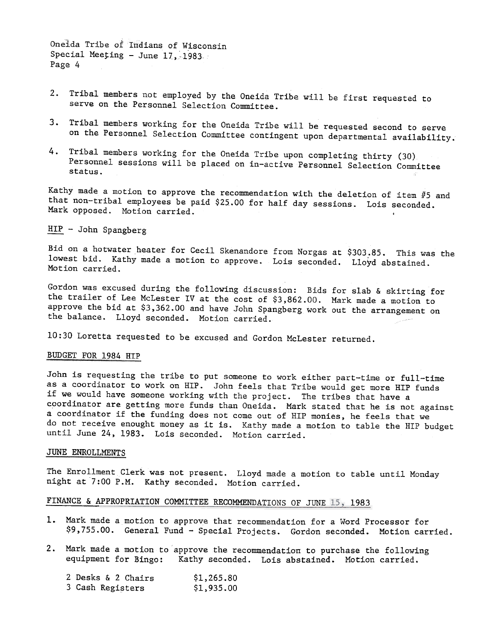Oneida Tribe of Indians of Wisconsin Special Meeting - June  $17, -1983$ . Page 4

- Tribal members not employed by the Oneida Tribe will be first requested to serve on the Personnel Selection Committee.
- Tribal members working for the Oneida Tribe will be requested second to serve on the Personnel Selection Committee contingent upon departmental availability.
- 4. Tribal members working for the Oneida Tribe upon completing thirty (30) Personnel sessions will be placed on in-active Personnel Selection Committee status.

Kathy made a motion to approve the recommendation with the deletion of item  $#5$  and that non-tribal employees be paid \$25.00 for half day sessions. Lois seconded. Mark opposed. Motion carried.

Bid on a hotwater heater for Cecil Skenandore from Norgas at \$303.85. This was the lowest bid. Kathy made a motion to approve. Lois seconded. Lloyd abstained. Motion carried.

Gordon was excused during the following discussion: Bids for slab & skirting for the trailer of Lee McLester IV at the cost of \$3,862.00. Mark made a motion to approve the bid at \$3,362.00 and have John Spangberg work out the arrangement on the balance. Lloyd seconded. Motion carried.

10:30 Loretta requested to be excused and Gordon McLester returned.

#### BUDGET FOR 1984 HIP

HIP - John Spangberg<br>Bid on a hotwater heat<br>Dowest bid. Kathy mad<br>Motion carried.<br>Gordon was excused dure<br>the trailer of Lee McL<br>approve the bid at \$3,<br>the balance. Lloyd se<br>BUDGET FOR 1984 HIP<br>John is requesting the<br>as a John is requesting the tribe to put someone to work either part-time or full-time as a coordinator to work on HIP. John feels that Tribe would get more HIP funds if we would have someone working with the project. The tribes that have a coordinator are getting more funds than Oneida. Mark stated that he is not against a coordinator if the funding does not come out of HIP monies, he feels that we do not receive enought money as it is. Kathy made a motion to table the HIP budget until June 24,1983. Lois seconded. Motion carried.

### JUNE ENROLLMENTS

The Enrollment Clerk was not present. Lloyd made a motion to table until Monday night at 7:00 P.M. Kathy seconded. Motion carri

# FINANCE & APPROPRIATION COMMITTEE RECOMMENDATIONS OF JUNE 15, 1983

- \$9,755.00. General Fund Special Projects. Gordon seconded. Motion carried.
- 1. Mark made a motion to approve that recommendation for a Word Processor for \$9,755.00. General Fund Special Projects. Gordon seconded. Motion cannot approve the recommendation to purchase the followine equipment for Bi 2. Mark made a motion to approve the recommendation to purchase the follow<br>equipment for Bingo: Kathy seconded. Lois abstained. Motion carried<br>2 Desks & 2 Chairs \$1,265.80<br>3 Cash Registers \$1,935.00 equipment for Bingo: Kathy seconded. Lois abstained. Motion carried.

| 2 Desks & 2 Chairs | \$1,265.80 |
|--------------------|------------|
| 3 Cash Registers   | \$1,935.00 |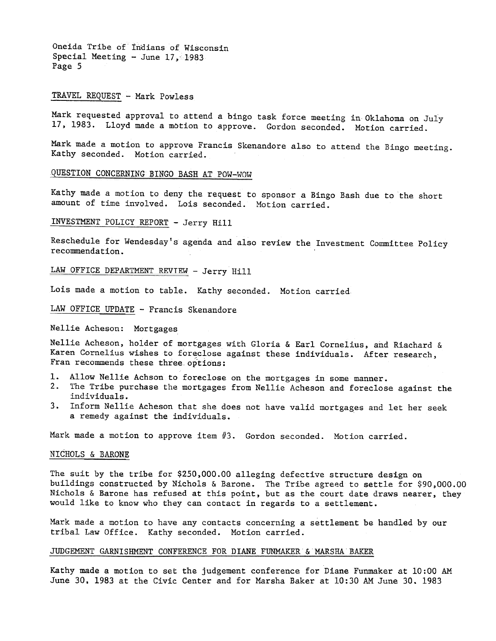Oneida Tribe of Indians of Wisconsin Special Meeting - June  $17, -1983$ Page 5

#### TRAVEL REQUEST - Mark Powless

Mark requested approval to attend a bingo task force meeting in Oklahoma on July 17, 1983. Lloyd made a motion to approve. Gordon seconded. Motion carried.

Mark made a motion to approve Francis Skenandore also to attend the Bingo meeting. Kathy seconded. Motion carried.

#### QUESTION CONCERNING BINGO BASH AT POW-WOW

Kathy made a motion to deny the request to sponsor a Bingo Bash due to the short amount of time involved. Lois seconded. Motion carried.

INVESTMENT POLICY REPORT -Jerry Hill

Reschedule for Wendesday's agenda and also review the Investment Committee Policy recommendation.

LAW OFFICE DEPARTMENT REVIEW - Jerry Hill

Lois made a motion to table. Kathy seconded. Motion carried

LAW OFFICE UPDATE - Francis Skenandore

Nellie Acheson: Mortgages

Nellie Acheson, holder of mortgages with Gloria & Earl Cornelius, and Riachard & Karen Cornelius wishes to foreclose against these individuals. After research, Fran recommends these three options:

- 1. Allow Nellie Achson to foreclose on the mortgages in some manner.
- The Tribe purchase the mortgages from Nellie Acheson and foreclose against the individuals.
- Inform Nellie Acheson that she does not have valid mortgages and let her seek a remedy against the individuals.

Mark made a motion to approve item  $#3$ . Gordon seconded. Motion carried.

#### NICHOLS & BARONE

The suit by the tribe for \$250.000.00 alleging defective structure design on buildings constructed by Nichols & Barone. The Tribe agreed to settle for \$90.000.00 Nichols & Barone has refused at this point, but as the court date draws nearer, they would like to know who they can contact in regards to a settlement.

Mark made a motion to have any contacts concerning a settlement be handled by our tribal Law Office. Kathy seconded. Motion carried.

#### JUDGEMENT GARNISHMENT CONFERENCE FOR DIANE FUNMAKER & MARSHA BAKER

Kathy made a motion to set the judgement conference for Diane Funmaker at 10:00 AM June 30.1983 at the Civic Center and for Marsha Baker at 10:30 AM June 30.1983